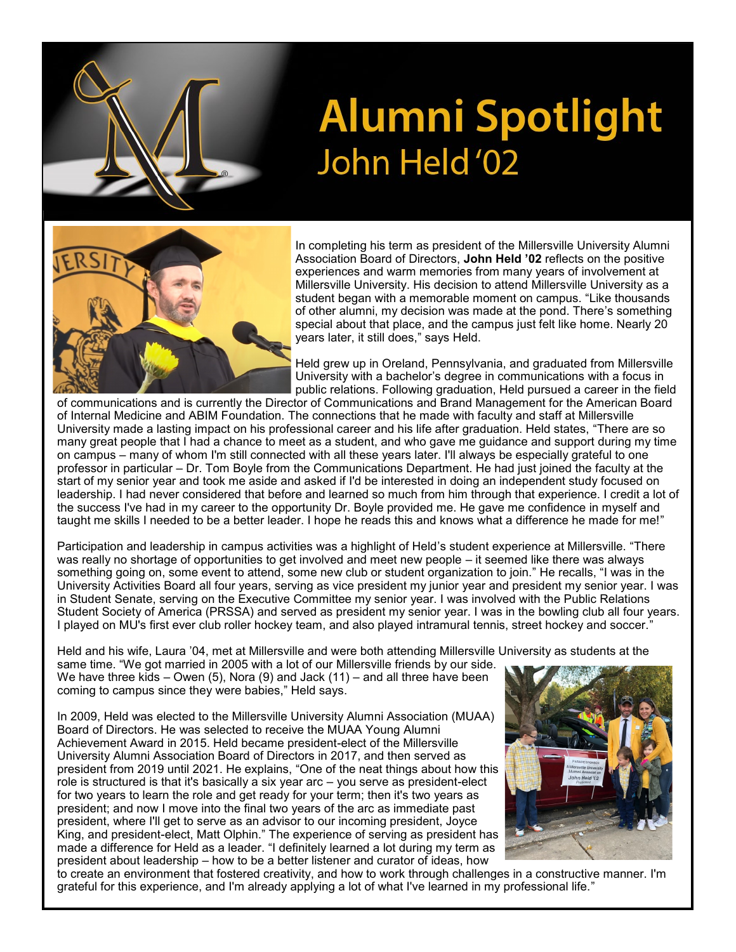

## **Alumni Spotlight** John Held'02



In completing his term as president of the Millersville University Alumni Association Board of Directors, **John Held '02** reflects on the positive experiences and warm memories from many years of involvement at Millersville University. His decision to attend Millersville University as a student began with a memorable moment on campus. "Like thousands of other alumni, my decision was made at the pond. There's something special about that place, and the campus just felt like home. Nearly 20 years later, it still does," says Held.

Held grew up in Oreland, Pennsylvania, and graduated from Millersville University with a bachelor's degree in communications with a focus in public relations. Following graduation, Held pursued a career in the field

of communications and is currently the Director of Communications and Brand Management for the American Board of Internal Medicine and ABIM Foundation. The connections that he made with faculty and staff at Millersville University made a lasting impact on his professional career and his life after graduation. Held states, "There are so many great people that I had a chance to meet as a student, and who gave me guidance and support during my time on campus – many of whom I'm still connected with all these years later. I'll always be especially grateful to one professor in particular – Dr. Tom Boyle from the Communications Department. He had just joined the faculty at the start of my senior year and took me aside and asked if I'd be interested in doing an independent study focused on leadership. I had never considered that before and learned so much from him through that experience. I credit a lot of the success I've had in my career to the opportunity Dr. Boyle provided me. He gave me confidence in myself and taught me skills I needed to be a better leader. I hope he reads this and knows what a difference he made for me!"

Participation and leadership in campus activities was a highlight of Held's student experience at Millersville. "There was really no shortage of opportunities to get involved and meet new people – it seemed like there was always something going on, some event to attend, some new club or student organization to join." He recalls, "I was in the University Activities Board all four years, serving as vice president my junior year and president my senior year. I was in Student Senate, serving on the Executive Committee my senior year. I was involved with the Public Relations Student Society of America (PRSSA) and served as president my senior year. I was in the bowling club all four years. I played on MU's first ever club roller hockey team, and also played intramural tennis, street hockey and soccer."

Held and his wife, Laura '04, met at Millersville and were both attending Millersville University as students at the

same time. "We got married in 2005 with a lot of our Millersville friends by our side. We have three kids – Owen (5), Nora (9) and Jack (11) – and all three have been coming to campus since they were babies," Held says.

In 2009, Held was elected to the Millersville University Alumni Association (MUAA) Board of Directors. He was selected to receive the MUAA Young Alumni Achievement Award in 2015. Held became president-elect of the Millersville University Alumni Association Board of Directors in 2017, and then served as president from 2019 until 2021. He explains, "One of the neat things about how this role is structured is that it's basically a six year arc – you serve as president-elect for two years to learn the role and get ready for your term; then it's two years as president; and now I move into the final two years of the arc as immediate past president, where I'll get to serve as an advisor to our incoming president, Joyce King, and president-elect, Matt Olphin." The experience of serving as president has made a difference for Held as a leader. "I definitely learned a lot during my term as president about leadership – how to be a better listener and curator of ideas, how



to create an environment that fostered creativity, and how to work through challenges in a constructive manner. I'm grateful for this experience, and I'm already applying a lot of what I've learned in my professional life."